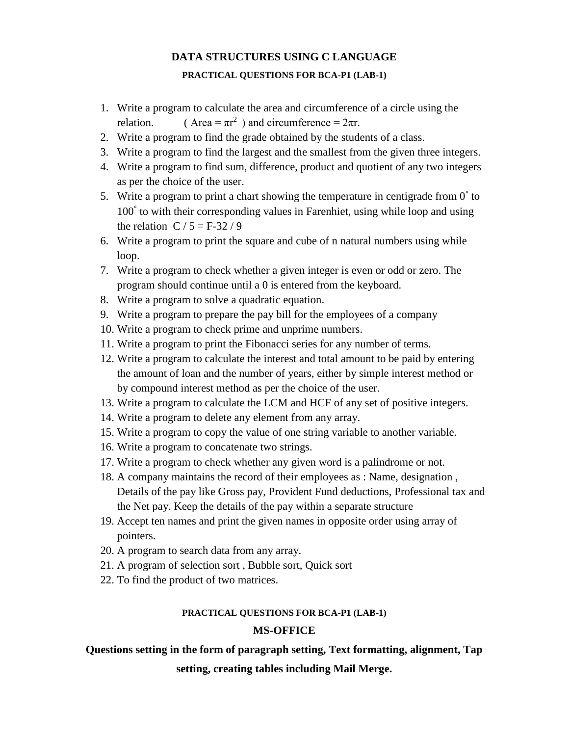# **DATA STRUCTURES USING C LANGUAGE PRACTICAL QUESTIONS FOR BCA-P1 (LAB-1)**

- 1. Write a program to calculate the area and circumference of a circle using the relation. (Area =  $\pi r^2$ ) and circumference =  $2\pi r$ .
- 2. Write a program to find the grade obtained by the students of a class.
- 3. Write a program to find the largest and the smallest from the given three integers.
- 4. Write a program to find sum, difference, product and quotient of any two integers as per the choice of the user.
- 5. Write a program to print a chart showing the temperature in centigrade from  $0^{\circ}$  to 100° to with their corresponding values in Farenhiet, using while loop and using the relation  $C / 5 = F-32 / 9$
- 6. Write a program to print the square and cube of n natural numbers using while loop.
- 7. Write a program to check whether a given integer is even or odd or zero. The program should continue until a 0 is entered from the keyboard.
- 8. Write a program to solve a quadratic equation.
- 9. Write a program to prepare the pay bill for the employees of a company
- 10. Write a program to check prime and unprime numbers.
- 11. Write a program to print the Fibonacci series for any number of terms.
- 12. Write a program to calculate the interest and total amount to be paid by entering the amount of loan and the number of years, either by simple interest method or by compound interest method as per the choice of the user.
- 13. Write a program to calculate the LCM and HCF of any set of positive integers.
- 14. Write a program to delete any element from any array.
- 15. Write a program to copy the value of one string variable to another variable.
- 16. Write a program to concatenate two strings.
- 17. Write a program to check whether any given word is a palindrome or not.
- 18. A company maintains the record of their employees as : Name, designation , Details of the pay like Gross pay, Provident Fund deductions, Professional tax and the Net pay. Keep the details of the pay within a separate structure
- 19. Accept ten names and print the given names in opposite order using array of pointers.
- 20. A program to search data from any array.
- 21. A program of selection sort , Bubble sort, Quick sort
- 22. To find the product of two matrices.

#### **PRACTICAL QUESTIONS FOR BCA-P1 (LAB-1)**

#### **MS-OFFICE**

#### **Questions setting in the form of paragraph setting, Text formatting, alignment, Tap**

**setting, creating tables including Mail Merge.**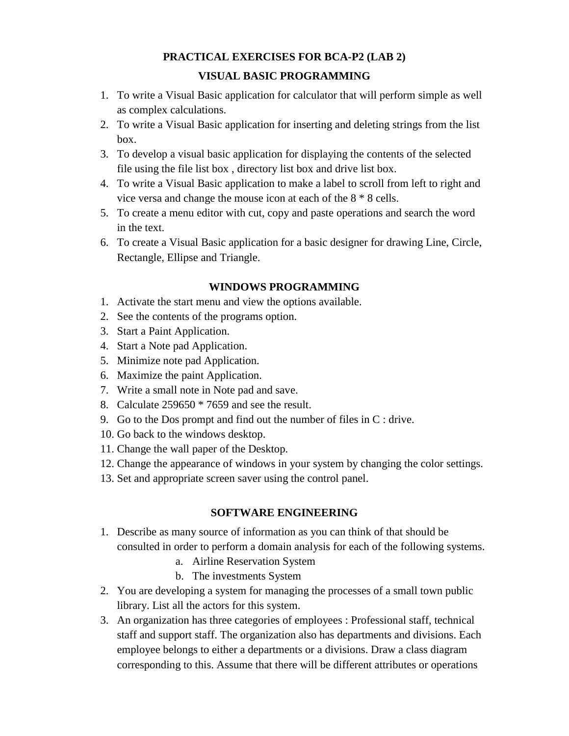### **PRACTICAL EXERCISES FOR BCA-P2 (LAB 2)**

### **VISUAL BASIC PROGRAMMING**

- 1. To write a Visual Basic application for calculator that will perform simple as well as complex calculations.
- 2. To write a Visual Basic application for inserting and deleting strings from the list box.
- 3. To develop a visual basic application for displaying the contents of the selected file using the file list box , directory list box and drive list box.
- 4. To write a Visual Basic application to make a label to scroll from left to right and vice versa and change the mouse icon at each of the 8 \* 8 cells.
- 5. To create a menu editor with cut, copy and paste operations and search the word in the text.
- 6. To create a Visual Basic application for a basic designer for drawing Line, Circle, Rectangle, Ellipse and Triangle.

#### **WINDOWS PROGRAMMING**

- 1. Activate the start menu and view the options available.
- 2. See the contents of the programs option.
- 3. Start a Paint Application.
- 4. Start a Note pad Application.
- 5. Minimize note pad Application.
- 6. Maximize the paint Application.
- 7. Write a small note in Note pad and save.
- 8. Calculate 259650 \* 7659 and see the result.
- 9. Go to the Dos prompt and find out the number of files in C : drive.
- 10. Go back to the windows desktop.
- 11. Change the wall paper of the Desktop.
- 12. Change the appearance of windows in your system by changing the color settings.
- 13. Set and appropriate screen saver using the control panel.

#### **SOFTWARE ENGINEERING**

- 1. Describe as many source of information as you can think of that should be consulted in order to perform a domain analysis for each of the following systems.
	- a. Airline Reservation System
	- b. The investments System
- 2. You are developing a system for managing the processes of a small town public library. List all the actors for this system.
- 3. An organization has three categories of employees : Professional staff, technical staff and support staff. The organization also has departments and divisions. Each employee belongs to either a departments or a divisions. Draw a class diagram corresponding to this. Assume that there will be different attributes or operations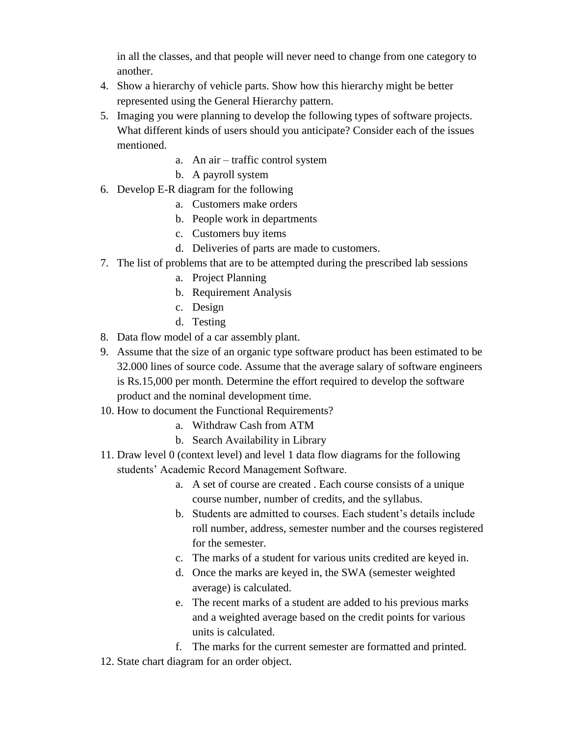in all the classes, and that people will never need to change from one category to another.

- 4. Show a hierarchy of vehicle parts. Show how this hierarchy might be better represented using the General Hierarchy pattern.
- 5. Imaging you were planning to develop the following types of software projects. What different kinds of users should you anticipate? Consider each of the issues mentioned.
	- a. An air traffic control system
	- b. A payroll system
- 6. Develop E-R diagram for the following
	- a. Customers make orders
	- b. People work in departments
	- c. Customers buy items
	- d. Deliveries of parts are made to customers.
- 7. The list of problems that are to be attempted during the prescribed lab sessions
	- a. Project Planning
	- b. Requirement Analysis
	- c. Design
	- d. Testing
- 8. Data flow model of a car assembly plant.
- 9. Assume that the size of an organic type software product has been estimated to be 32.000 lines of source code. Assume that the average salary of software engineers is Rs.15,000 per month. Determine the effort required to develop the software product and the nominal development time.
- 10. How to document the Functional Requirements?
	- a. Withdraw Cash from ATM
	- b. Search Availability in Library
- 11. Draw level 0 (context level) and level 1 data flow diagrams for the following students' Academic Record Management Software.
	- a. A set of course are created . Each course consists of a unique course number, number of credits, and the syllabus.
	- b. Students are admitted to courses. Each student's details include roll number, address, semester number and the courses registered for the semester.
	- c. The marks of a student for various units credited are keyed in.
	- d. Once the marks are keyed in, the SWA (semester weighted average) is calculated.
	- e. The recent marks of a student are added to his previous marks and a weighted average based on the credit points for various units is calculated.
	- f. The marks for the current semester are formatted and printed.
- 12. State chart diagram for an order object.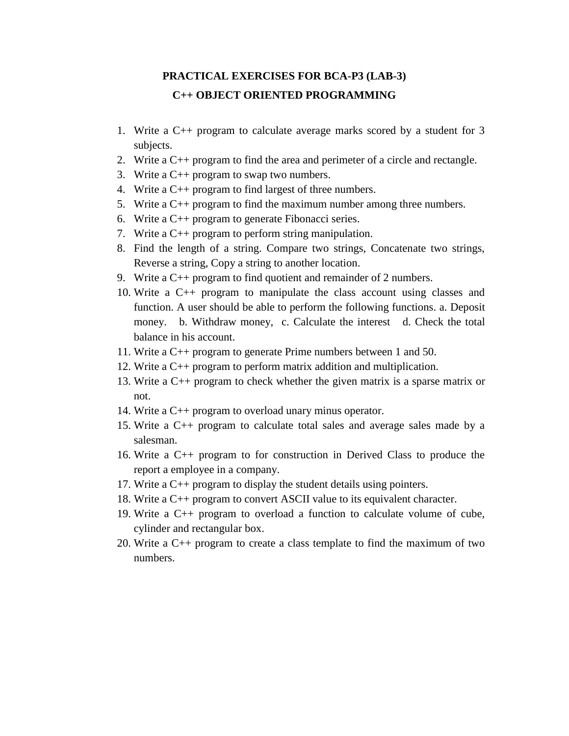## **PRACTICAL EXERCISES FOR BCA-P3 (LAB-3) C++ OBJECT ORIENTED PROGRAMMING**

- 1. Write a C++ program to calculate average marks scored by a student for 3 subjects.
- 2. Write a C++ program to find the area and perimeter of a circle and rectangle.
- 3. Write a C++ program to swap two numbers.
- 4. Write a C++ program to find largest of three numbers.
- 5. Write a C++ program to find the maximum number among three numbers.
- 6. Write a C++ program to generate Fibonacci series.
- 7. Write a C++ program to perform string manipulation.
- 8. Find the length of a string. Compare two strings, Concatenate two strings, Reverse a string, Copy a string to another location.
- 9. Write a C++ program to find quotient and remainder of 2 numbers.
- 10. Write a C++ program to manipulate the class account using classes and function. A user should be able to perform the following functions. a. Deposit money. b. Withdraw money, c. Calculate the interest d. Check the total balance in his account.
- 11. Write a C++ program to generate Prime numbers between 1 and 50.
- 12. Write a C++ program to perform matrix addition and multiplication.
- 13. Write a C++ program to check whether the given matrix is a sparse matrix or not.
- 14. Write a C++ program to overload unary minus operator.
- 15. Write a C++ program to calculate total sales and average sales made by a salesman.
- 16. Write a C++ program to for construction in Derived Class to produce the report a employee in a company.
- 17. Write a C++ program to display the student details using pointers.
- 18. Write a C++ program to convert ASCII value to its equivalent character.
- 19. Write a C++ program to overload a function to calculate volume of cube, cylinder and rectangular box.
- 20. Write a C++ program to create a class template to find the maximum of two numbers.